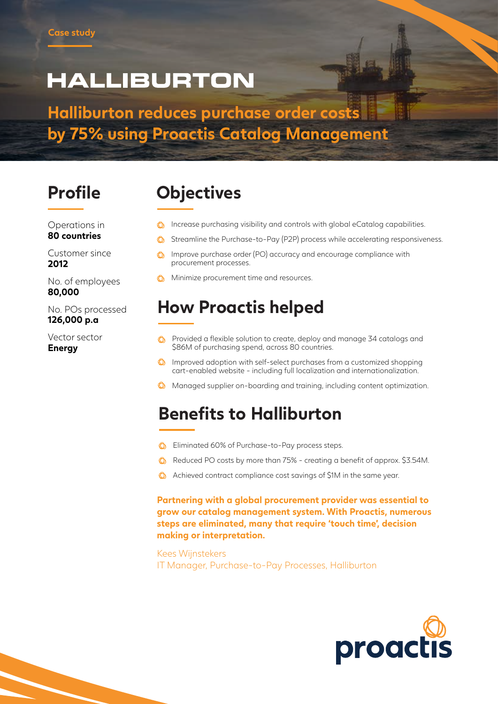# **HALLIBURTON**

**Halliburton reduces purchase order costs by 75% using Proactis Catalog Management**

### **Profile Objectives**

- **C** Increase purchasing visibility and controls with global eCatalog capabilities.
- $\circled{6}$  Streamline the Purchase-to-Pay (P2P) process while accelerating responsiveness.
- **C** Improve purchase order (PO) accuracy and encourage compliance with procurement processes.
- **C** Minimize procurement time and resources.

#### **How Proactis helped**

- **C** Provided a flexible solution to create, deploy and manage 34 catalogs and \$86M of purchasing spend, across 80 countries.
- Improved adoption with self-select purchases from a customized shopping cart-enabled website - including full localization and internationalization.
- **W** Managed supplier on-boarding and training, including content optimization.

#### **Benefits to Halliburton**

- **C** Eliminated 60% of Purchase-to-Pay process steps.
- **C** Reduced PO costs by more than 75% creating a benefit of approx. \$3.54M.
- **C** Achieved contract compliance cost savings of \$1M in the same year.

**Partnering with a global procurement provider was essential to grow our catalog management system. With Proactis, numerous steps are eliminated, many that require 'touch time', decision making or interpretation.**

Kees Wijnstekers IT Manager, Purchase-to-Pay Processes, Halliburton



Operations in **80 countries**

Customer since **2012**

No. of employees **80,000**

No. POs processed **126,000 p.a**

Vector sector **Energy**